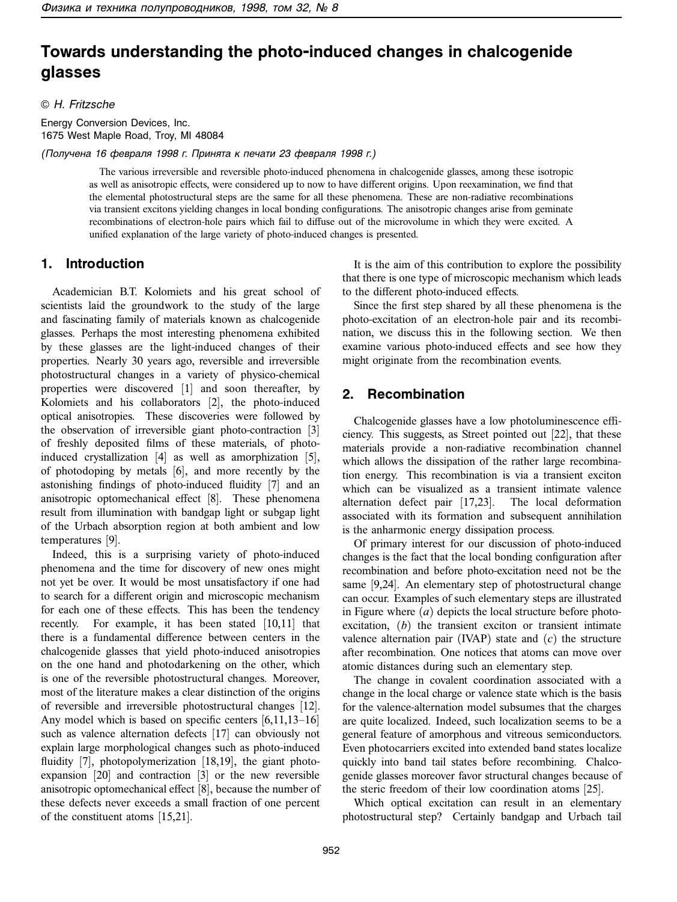# **Towards understanding the photo-induced changes in chalcogenide glasses**

© H. Fritzsche

Energy Conversion Devices, Inc. 1675 West Maple Road, Troy, MI 48084

(Получена 16 февраля 1998 г. Принята к печати 23 февраля 1998 г.)

The various irreversible and reversible photo-induced phenomena in chalcogenide glasses, among these isotropic as well as anisotropic effects, were considered up to now to have different origins. Upon reexamination, we find that the elemental photostructural steps are the same for all these phenomena. These are non-radiative recombinations via transient excitons yielding changes in local bonding configurations. The anisotropic changes arise from geminate recombinations of electron-hole pairs which fail to diffuse out of the microvolume in which they were excited. A unified explanation of the large variety of photo-induced changes is presented.

## **1. Introduction**

Academician B.T. Kolomiets and his great school of scientists laid the groundwork to the study of the large and fascinating family of materials known as chalcogenide glasses. Perhaps the most interesting phenomena exhibited by these glasses are the light-induced changes of their properties. Nearly 30 years ago, reversible and irreversible photostructural changes in a variety of physico-chemical properties were discovered [1] and soon thereafter, by Kolomiets and his collaborators [2], the photo-induced optical anisotropies. These discoveries were followed by the observation of irreversible giant photo-contraction [3] of freshly deposited films of these materials, of photoinduced crystallization [4] as well as amorphization [5], of photodoping by metals [6], and more recently by the astonishing findings of photo-induced fluidity [7] and an anisotropic optomechanical effect [8]. These phenomena result from illumination with bandgap light or subgap light of the Urbach absorption region at both ambient and low temperatures [9].

Indeed, this is a surprising variety of photo-induced phenomena and the time for discovery of new ones might not yet be over. It would be most unsatisfactory if one had to search for a different origin and microscopic mechanism for each one of these effects. This has been the tendency recently. For example, it has been stated [10,11] that there is a fundamental difference between centers in the chalcogenide glasses that yield photo-induced anisotropies on the one hand and photodarkening on the other, which is one of the reversible photostructural changes. Moreover, most of the literature makes a clear distinction of the origins of reversible and irreversible photostructural changes [12]. Any model which is based on specific centers [6,11,13–16] such as valence alternation defects [17] can obviously not explain large morphological changes such as photo-induced fluidity [7], photopolymerization [18,19], the giant photoexpansion [20] and contraction [3] or the new reversible anisotropic optomechanical effect [8], because the number of these defects never exceeds a small fraction of one percent of the constituent atoms [15,21].

It is the aim of this contribution to explore the possibility that there is one type of microscopic mechanism which leads to the different photo-induced effects.

Since the first step shared by all these phenomena is the photo-excitation of an electron-hole pair and its recombination, we discuss this in the following section. We then examine various photo-induced effects and see how they might originate from the recombination events.

# **2. Recombination**

Chalcogenide glasses have a low photoluminescence efficiency. This suggests, as Street pointed out [22], that these materials provide a non-radiative recombination channel which allows the dissipation of the rather large recombination energy. This recombination is via a transient exciton which can be visualized as a transient intimate valence alternation defect pair [17,23]. The local deformation associated with its formation and subsequent annihilation is the anharmonic energy dissipation process.

Of primary interest for our discussion of photo-induced changes is the fact that the local bonding configuration after recombination and before photo-excitation need not be the same [9,24]. An elementary step of photostructural change can occur. Examples of such elementary steps are illustrated in Figure where (*a*) depicts the local structure before photoexcitation, (*b*) the transient exciton or transient intimate valence alternation pair (IVAP) state and (*c*) the structure after recombination. One notices that atoms can move over atomic distances during such an elementary step.

The change in covalent coordination associated with a change in the local charge or valence state which is the basis for the valence-alternation model subsumes that the charges are quite localized. Indeed, such localization seems to be a general feature of amorphous and vitreous semiconductors. Even photocarriers excited into extended band states localize quickly into band tail states before recombining. Chalcogenide glasses moreover favor structural changes because of the steric freedom of their low coordination atoms [25].

Which optical excitation can result in an elementary photostructural step? Certainly bandgap and Urbach tail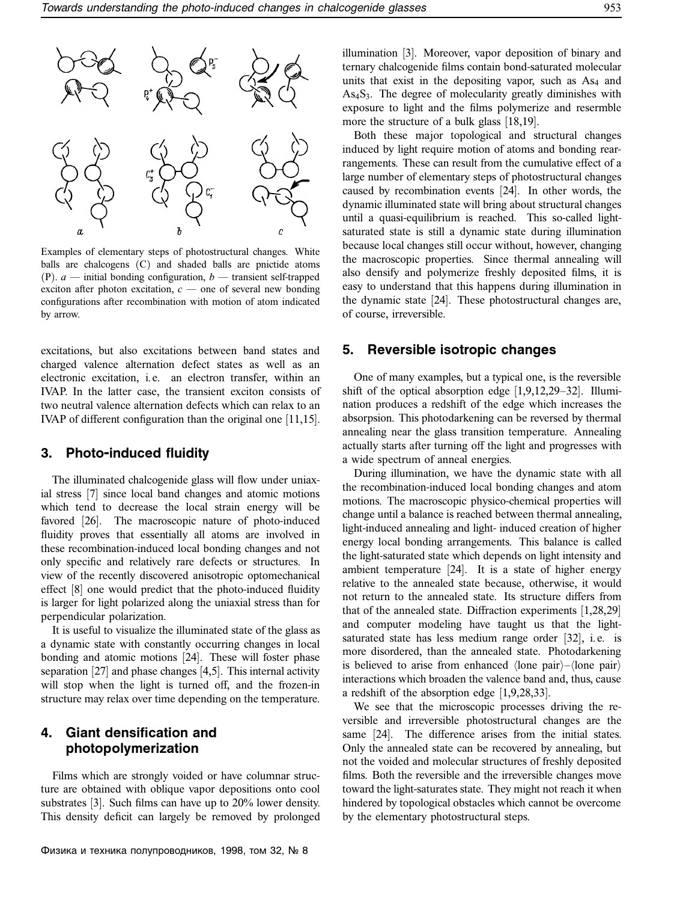

Examples of elementary steps of photostructural changes. White balls are chalcogens (C) and shaded balls are pnictide atoms (P). *a* — initial bonding configuration, *b* — transient self-trapped exciton after photon excitation,  $c$  — one of several new bonding configurations after recombination with motion of atom indicated by arrow.

excitations, but also excitations between band states and charged valence alternation defect states as well as an electronic excitation, i.e. an electron transfer, within an IVAP. In the latter case, the transient exciton consists of two neutral valence alternation defects which can relax to an IVAP of different configuration than the original one [11,15].

### **3. Photo-induced fluidity**

The illuminated chalcogenide glass will flow under uniaxial stress [7] since local band changes and atomic motions which tend to decrease the local strain energy will be favored [26]. The macroscopic nature of photo-induced fluidity proves that essentially all atoms are involved in these recombination-induced local bonding changes and not only specific and relatively rare defects or structures. In view of the recently discovered anisotropic optomechanical effect [8] one would predict that the photo-induced fluidity is larger for light polarized along the uniaxial stress than for perpendicular polarization.

It is useful to visualize the illuminated state of the glass as a dynamic state with constantly occurring changes in local bonding and atomic motions [24]. These will foster phase separation [27] and phase changes [4,5]. This internal activity will stop when the light is turned off, and the frozen-in structure may relax over time depending on the temperature.

# **4. Giant densification and photopolymerization**

Films which are strongly voided or have columnar structure are obtained with oblique vapor depositions onto cool substrates [3]. Such films can have up to 20% lower density. This density deficit can largely be removed by prolonged illumination [3]. Moreover, vapor deposition of binary and ternary chalcogenide films contain bond-saturated molecular units that exist in the depositing vapor, such as  $As<sub>4</sub>$  and As4S3. The degree of molecularity greatly diminishes with exposure to light and the films polymerize and resermble more the structure of a bulk glass [18,19].

Both these major topological and structural changes induced by light require motion of atoms and bonding rearrangements. These can result from the cumulative effect of a large number of elementary steps of photostructural changes caused by recombination events [24]. In other words, the dynamic illuminated state will bring about structural changes until a quasi-equilibrium is reached. This so-called lightsaturated state is still a dynamic state during illumination because local changes still occur without, however, changing the macroscopic properties. Since thermal annealing will also densify and polymerize freshly deposited films, it is easy to understand that this happens during illumination in the dynamic state [24]. These photostructural changes are, of course, irreversible.

## **5. Reversible isotropic changes**

One of many examples, but a typical one, is the reversible shift of the optical absorption edge [1,9,12,29–32]. Illumination produces a redshift of the edge which increases the absorpsion. This photodarkening can be reversed by thermal annealing near the glass transition temperature. Annealing actually starts after turning off the light and progresses with a wide spectrum of anneal energies.

During illumination, we have the dynamic state with all the recombination-induced local bonding changes and atom motions. The macroscopic physico-chemical properties will change until a balance is reached between thermal annealing, light-induced annealing and light- induced creation of higher energy local bonding arrangements. This balance is called the light-saturated state which depends on light intensity and ambient temperature [24]. It is a state of higher energy relative to the annealed state because, otherwise, it would not return to the annealed state. Its structure differs from that of the annealed state. Diffraction experiments [1,28,29] and computer modeling have taught us that the lightsaturated state has less medium range order [32], i.e. is more disordered, than the annealed state. Photodarkening is believed to arise from enhanced  $\langle$ lone pair $\rangle$ – $\langle$ lone pair $\rangle$ interactions which broaden the valence band and, thus, cause a redshift of the absorption edge [1,9,28,33].

We see that the microscopic processes driving the reversible and irreversible photostructural changes are the same [24]. The difference arises from the initial states. Only the annealed state can be recovered by annealing, but not the voided and molecular structures of freshly deposited films. Both the reversible and the irreversible changes move toward the light-saturates state. They might not reach it when hindered by topological obstacles which cannot be overcome by the elementary photostructural steps.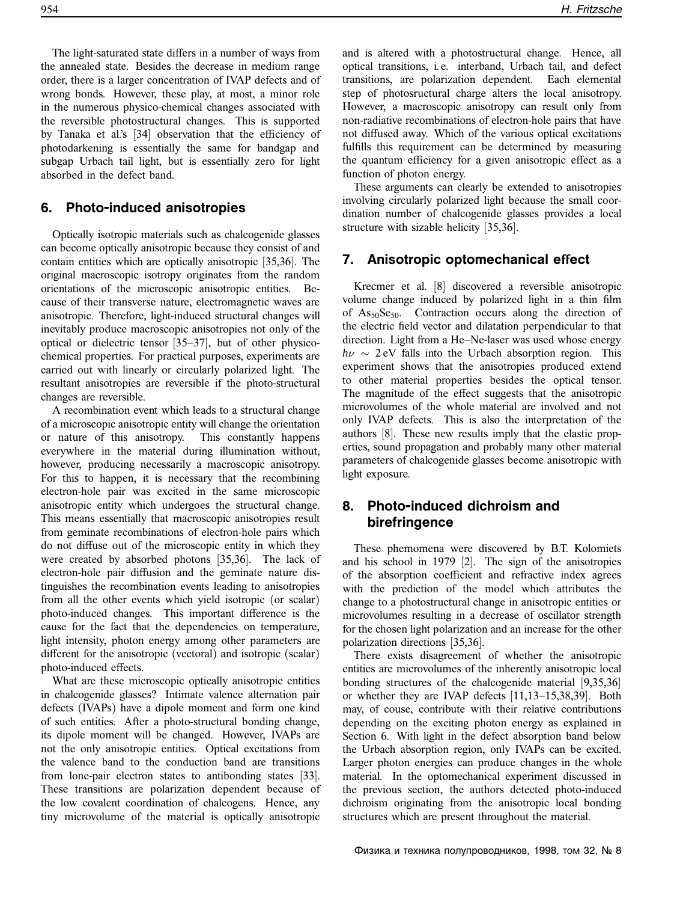The light-saturated state differs in a number of ways from the annealed state. Besides the decrease in medium range order, there is a larger concentration of IVAP defects and of wrong bonds. However, these play, at most, a minor role in the numerous physico-chemical changes associated with the reversible photostructural changes. This is supported by Tanaka et al.'s [34] observation that the efficiency of photodarkening is essentially the same for bandgap and subgap Urbach tail light, but is essentially zero for light absorbed in the defect band.

## **6. Photo-induced anisotropies**

Optically isotropic materials such as chalcogenide glasses can become optically anisotropic because they consist of and contain entities which are optically anisotropic [35,36]. The original macroscopic isotropy originates from the random orientations of the microscopic anisotropic entities. Because of their transverse nature, electromagnetic waves are anisotropic. Therefore, light-induced structural changes will inevitably produce macroscopic anisotropies not only of the optical or dielectric tensor [35–37], but of other physicochemical properties. For practical purposes, experiments are carried out with linearly or circularly polarized light. The resultant anisotropies are reversible if the photo-structural changes are reversible.

A recombination event which leads to a structural change of a microscopic anisotropic entity will change the orientation or nature of this anisotropy. This constantly happens everywhere in the material during illumination without, however, producing necessarily a macroscopic anisotropy. For this to happen, it is necessary that the recombining electron-hole pair was excited in the same microscopic anisotropic entity which undergoes the structural change. This means essentially that macroscopic anisotropies result from geminate recombinations of electron-hole pairs which do not diffuse out of the microscopic entity in which they were created by absorbed photons [35,36]. The lack of electron-hole pair diffusion and the geminate nature distinguishes the recombination events leading to anisotropies from all the other events which yield isotropic (or scalar) photo-induced changes. This important difference is the cause for the fact that the dependencies on temperature, light intensity, photon energy among other parameters are different for the anisotropic (vectoral) and isotropic (scalar) photo-induced effects.

What are these microscopic optically anisotropic entities in chalcogenide glasses? Intimate valence alternation pair defects (IVAPs) have a dipole moment and form one kind of such entities. After a photo-structural bonding change, its dipole moment will be changed. However, IVAPs are not the only anisotropic entities. Optical excitations from the valence band to the conduction band are transitions from lone-pair electron states to antibonding states [33]. These transitions are polarization dependent because of the low covalent coordination of chalcogens. Hence, any tiny microvolume of the material is optically anisotropic

and is altered with a photostructural change. Hence, all optical transitions, i. e. interband, Urbach tail, and defect transitions, are polarization dependent. Each elemental step of photosructural charge alters the local anisotropy. However, a macroscopic anisotropy can result only from non-radiative recombinations of electron-hole pairs that have not diffused away. Which of the various optical excitations fulfills this requirement can be determined by measuring the quantum efficiency for a given anisotropic effect as a function of photon energy.

These arguments can clearly be extended to anisotropies involving circularly polarized light because the small coordination number of chalcogenide glasses provides a local structure with sizable helicity [35,36].

## **7. Anisotropic optomechanical e**ff**ect**

Krecmer et al. [8] discovered a reversible anisotropic volume change induced by polarized light in a thin film of  $As_{50}Se_{50}$ . Contraction occurs along the direction of the electric field vector and dilatation perpendicular to that direction. Light from a He–Ne-laser was used whose energy *hv* ∼ 2 eV falls into the Urbach absorption region. This experiment shows that the anisotropies produced extend to other material properties besides the optical tensor. The magnitude of the effect suggests that the anisotropic microvolumes of the whole material are involved and not only IVAP defects. This is also the interpretation of the authors [8]. These new results imply that the elastic properties, sound propagation and probably many other material parameters of chalcogenide glasses become anisotropic with light exposure.

## **8. Photo-induced dichroism and birefringence**

These phemomena were discovered by B.T. Kolomiets and his school in 1979 [2]. The sign of the anisotropies of the absorption coefficient and refractive index agrees with the prediction of the model which attributes the change to a photostructural change in anisotropic entities or microvolumes resulting in a decrease of oscillator strength for the chosen light polarization and an increase for the other polarization directions [35,36].

There exists disagreement of whether the anisotropic entities are microvolumes of the inherently anisotropic local bonding structures of the chalcogenide material [9,35,36] or whether they are IVAP defects [11,13–15,38,39]. Both may, of couse, contribute with their relative contributions depending on the exciting photon energy as explained in Section 6. With light in the defect absorption band below the Urbach absorption region, only IVAPs can be excited. Larger photon energies can produce changes in the whole material. In the optomechanical experiment discussed in the previous section, the authors detected photo-induced dichroism originating from the anisotropic local bonding structures which are present throughout the material.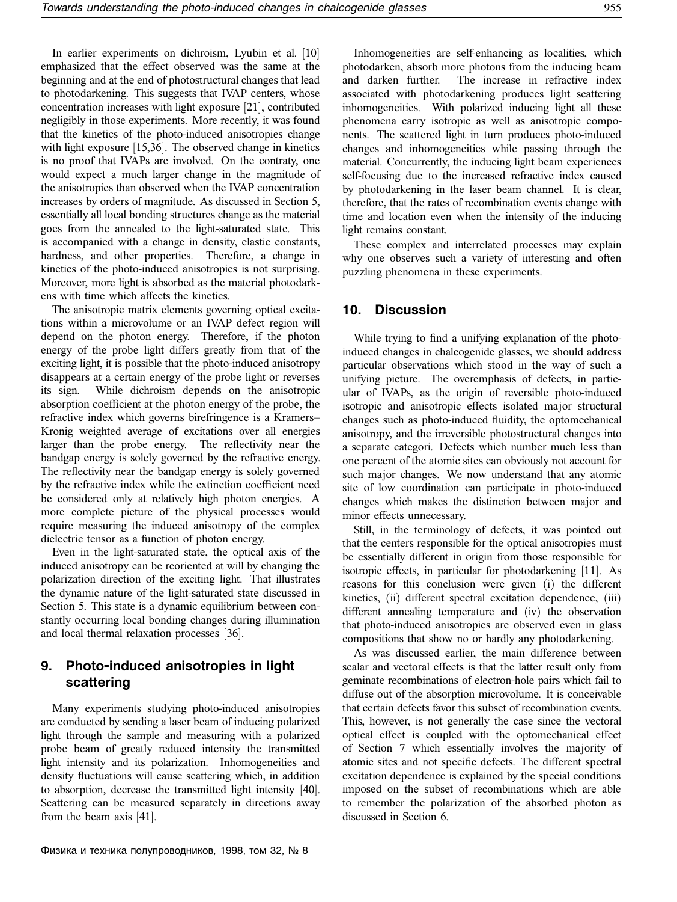In earlier experiments on dichroism, Lyubin et al. [10] emphasized that the effect observed was the same at the beginning and at the end of photostructural changes that lead to photodarkening. This suggests that IVAP centers, whose concentration increases with light exposure [21], contributed negligibly in those experiments. More recently, it was found that the kinetics of the photo-induced anisotropies change with light exposure [15,36]. The observed change in kinetics is no proof that IVAPs are involved. On the contraty, one would expect a much larger change in the magnitude of the anisotropies than observed when the IVAP concentration increases by orders of magnitude. As discussed in Section 5, essentially all local bonding structures change as the material goes from the annealed to the light-saturated state. This is accompanied with a change in density, elastic constants, hardness, and other properties. Therefore, a change in kinetics of the photo-induced anisotropies is not surprising. Moreover, more light is absorbed as the material photodarkens with time which affects the kinetics.

The anisotropic matrix elements governing optical excitations within a microvolume or an IVAP defect region will depend on the photon energy. Therefore, if the photon energy of the probe light differs greatly from that of the exciting light, it is possible that the photo-induced anisotropy disappears at a certain energy of the probe light or reverses its sign. While dichroism depends on the anisotropic absorption coefficient at the photon energy of the probe, the refractive index which governs birefringence is a Kramers– Kronig weighted average of excitations over all energies larger than the probe energy. The reflectivity near the bandgap energy is solely governed by the refractive energy. The reflectivity near the bandgap energy is solely governed by the refractive index while the extinction coefficient need be considered only at relatively high photon energies. A more complete picture of the physical processes would require measuring the induced anisotropy of the complex dielectric tensor as a function of photon energy.

Even in the light-saturated state, the optical axis of the induced anisotropy can be reoriented at will by changing the polarization direction of the exciting light. That illustrates the dynamic nature of the light-saturated state discussed in Section 5. This state is a dynamic equilibrium between constantly occurring local bonding changes during illumination and local thermal relaxation processes [36].

# **9. Photo-induced anisotropies in light scattering**

Many experiments studying photo-induced anisotropies are conducted by sending a laser beam of inducing polarized light through the sample and measuring with a polarized probe beam of greatly reduced intensity the transmitted light intensity and its polarization. Inhomogeneities and density fluctuations will cause scattering which, in addition to absorption, decrease the transmitted light intensity [40]. Scattering can be measured separately in directions away from the beam axis [41].

Inhomogeneities are self-enhancing as localities, which photodarken, absorb more photons from the inducing beam and darken further. The increase in refractive index associated with photodarkening produces light scattering inhomogeneities. With polarized inducing light all these phenomena carry isotropic as well as anisotropic components. The scattered light in turn produces photo-induced changes and inhomogeneities while passing through the material. Concurrently, the inducing light beam experiences self-focusing due to the increased refractive index caused by photodarkening in the laser beam channel. It is clear, therefore, that the rates of recombination events change with time and location even when the intensity of the inducing light remains constant.

These complex and interrelated processes may explain why one observes such a variety of interesting and often puzzling phenomena in these experiments.

## **10. Discussion**

While trying to find a unifying explanation of the photoinduced changes in chalcogenide glasses, we should address particular observations which stood in the way of such a unifying picture. The overemphasis of defects, in particular of IVAPs, as the origin of reversible photo-induced isotropic and anisotropic effects isolated major structural changes such as photo-induced fluidity, the optomechanical anisotropy, and the irreversible photostructural changes into a separate categori. Defects which number much less than one percent of the atomic sites can obviously not account for such major changes. We now understand that any atomic site of low coordination can participate in photo-induced changes which makes the distinction between major and minor effects unnecessary.

Still, in the terminology of defects, it was pointed out that the centers responsible for the optical anisotropies must be essentially different in origin from those responsible for isotropic effects, in particular for photodarkening [11]. As reasons for this conclusion were given (i) the different kinetics, (ii) different spectral excitation dependence, (iii) different annealing temperature and (iv) the observation that photo-induced anisotropies are observed even in glass compositions that show no or hardly any photodarkening.

As was discussed earlier, the main difference between scalar and vectoral effects is that the latter result only from geminate recombinations of electron-hole pairs which fail to diffuse out of the absorption microvolume. It is conceivable that certain defects favor this subset of recombination events. This, however, is not generally the case since the vectoral optical effect is coupled with the optomechanical effect of Section 7 which essentially involves the majority of atomic sites and not specific defects. The different spectral excitation dependence is explained by the special conditions imposed on the subset of recombinations which are able to remember the polarization of the absorbed photon as discussed in Section 6.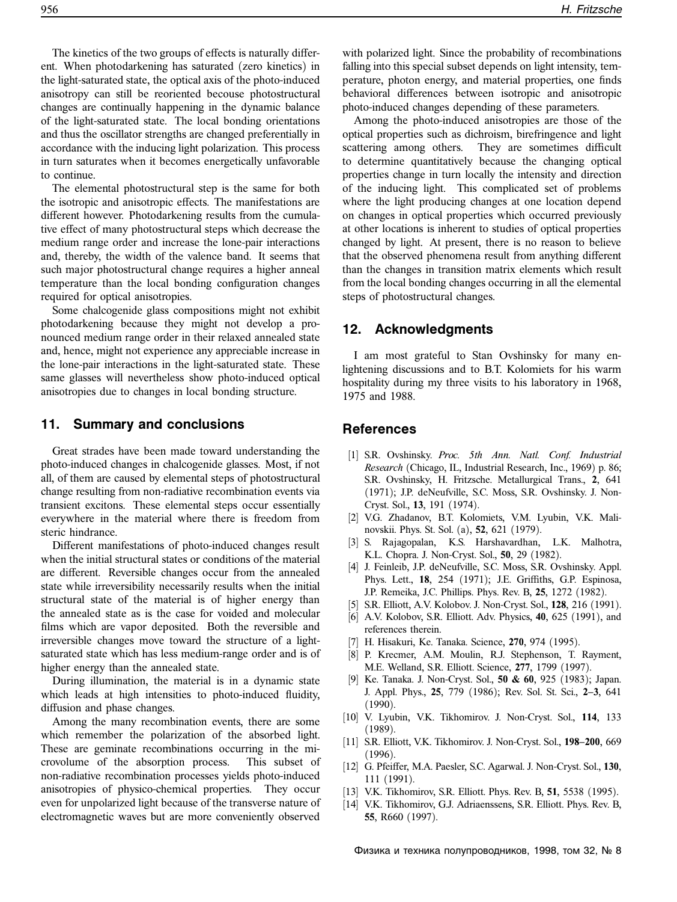The kinetics of the two groups of effects is naturally different. When photodarkening has saturated (zero kinetics) in the light-saturated state, the optical axis of the photo-induced anisotropy can still be reoriented becouse photostructural changes are continually happening in the dynamic balance of the light-saturated state. The local bonding orientations and thus the oscillator strengths are changed preferentially in accordance with the inducing light polarization. This process in turn saturates when it becomes energetically unfavorable to continue.

The elemental photostructural step is the same for both the isotropic and anisotropic effects. The manifestations are different however. Photodarkening results from the cumulative effect of many photostructural steps which decrease the medium range order and increase the lone-pair interactions and, thereby, the width of the valence band. It seems that such major photostructural change requires a higher anneal temperature than the local bonding configuration changes required for optical anisotropies.

Some chalcogenide glass compositions might not exhibit photodarkening because they might not develop a pronounced medium range order in their relaxed annealed state and, hence, might not experience any appreciable increase in the lone-pair interactions in the light-saturated state. These same glasses will nevertheless show photo-induced optical anisotropies due to changes in local bonding structure.

#### **11. Summary and conclusions**

Great strades have been made toward understanding the photo-induced changes in chalcogenide glasses. Most, if not all, of them are caused by elemental steps of photostructural change resulting from non-radiative recombination events via transient excitons. These elemental steps occur essentially everywhere in the material where there is freedom from steric hindrance.

Different manifestations of photo-induced changes result when the initial structural states or conditions of the material are different. Reversible changes occur from the annealed state while irreversibility necessarily results when the initial structural state of the material is of higher energy than the annealed state as is the case for voided and molecular films which are vapor deposited. Both the reversible and irreversible changes move toward the structure of a lightsaturated state which has less medium-range order and is of higher energy than the annealed state.

During illumination, the material is in a dynamic state which leads at high intensities to photo-induced fluidity, diffusion and phase changes.

Among the many recombination events, there are some which remember the polarization of the absorbed light. These are geminate recombinations occurring in the microvolume of the absorption process. This subset of non-radiative recombination processes yields photo-induced anisotropies of physico-chemical properties. They occur even for unpolarized light because of the transverse nature of electromagnetic waves but are more conveniently observed

with polarized light. Since the probability of recombinations falling into this special subset depends on light intensity, temperature, photon energy, and material properties, one finds behavioral differences between isotropic and anisotropic photo-induced changes depending of these parameters.

Among the photo-induced anisotropies are those of the optical properties such as dichroism, birefringence and light scattering among others. They are sometimes difficult to determine quantitatively because the changing optical properties change in turn locally the intensity and direction of the inducing light. This complicated set of problems where the light producing changes at one location depend on changes in optical properties which occurred previously at other locations is inherent to studies of optical properties changed by light. At present, there is no reason to believe that the observed phenomena result from anything different than the changes in transition matrix elements which result from the local bonding changes occurring in all the elemental steps of photostructural changes.

#### **12. Acknowledgments**

I am most grateful to Stan Ovshinsky for many enlightening discussions and to B.T. Kolomiets for his warm hospitality during my three visits to his laboratory in 1968, 1975 and 1988.

#### **References**

- [1] S.R. Ovshinsky. *Proc. 5th Ann. Natl. Conf. Industrial Research* (Chicago, IL, Industrial Research, Inc., 1969) p. 86; S.R. Ovshinsky, H. Fritzsche. Metallurgical Trans., **2**, 641 (1971); J.P. deNeufville, S.C. Moss, S.R. Ovshinsky. J. Non-Cryst. Sol., **13**, 191 (1974).
- [2] V.G. Zhadanov, B.T. Kolomiets, V.M. Lyubin, V.K. Malinovskii. Phys. St. Sol. (a), **52**, 621 (1979).
- [3] S. Rajagopalan, K.S. Harshavardhan, L.K. Malhotra, K.L. Chopra. J. Non-Cryst. Sol., **50**, 29 (1982).
- [4] J. Feinleib, J.P. deNeufville, S.C. Moss, S.R. Ovshinsky. Appl. Phys. Lett., **18**, 254 (1971); J.E. Griffiths, G.P. Espinosa, J.P. Remeika, J.C. Phillips. Phys. Rev. B, **25**, 1272 (1982).
- [5] S.R. Elliott, A.V. Kolobov. J. Non-Cryst. Sol., **128**, 216 (1991).
- [6] A.V. Kolobov, S.R. Elliott. Adv. Physics, **40**, 625 (1991), and references therein.
- [7] H. Hisakuri, Ke. Tanaka. Science, **270**, 974 (1995).
- [8] P. Krecmer, A.M. Moulin, R.J. Stephenson, T. Rayment, M.E. Welland, S.R. Elliott. Science, **277**, 1799 (1997).
- [9] Ke. Tanaka. J. Non-Cryst. Sol., **50 & 60**, 925 (1983); Japan. J. Appl. Phys., **25**, 779 (1986); Rev. Sol. St. Sci., **2–3**, 641 (1990).
- [10] V. Lyubin, V.K. Tikhomirov. J. Non-Cryst. Sol., **114**, 133 (1989).
- [11] S.R. Elliott, V.K. Tikhomirov. J. Non-Cryst. Sol., **198–200**, 669 (1996).
- [12] G. Pfeiffer, M.A. Paesler, S.C. Agarwal. J. Non-Cryst. Sol., **130**, 111 (1991).
- [13] V.K. Tikhomirov, S.R. Elliott. Phys. Rev. B, **51**, 5538 (1995).
- [14] V.K. Tikhomirov, G.J. Adriaenssens, S.R. Elliott. Phys. Rev. B, **55**, R660 (1997).